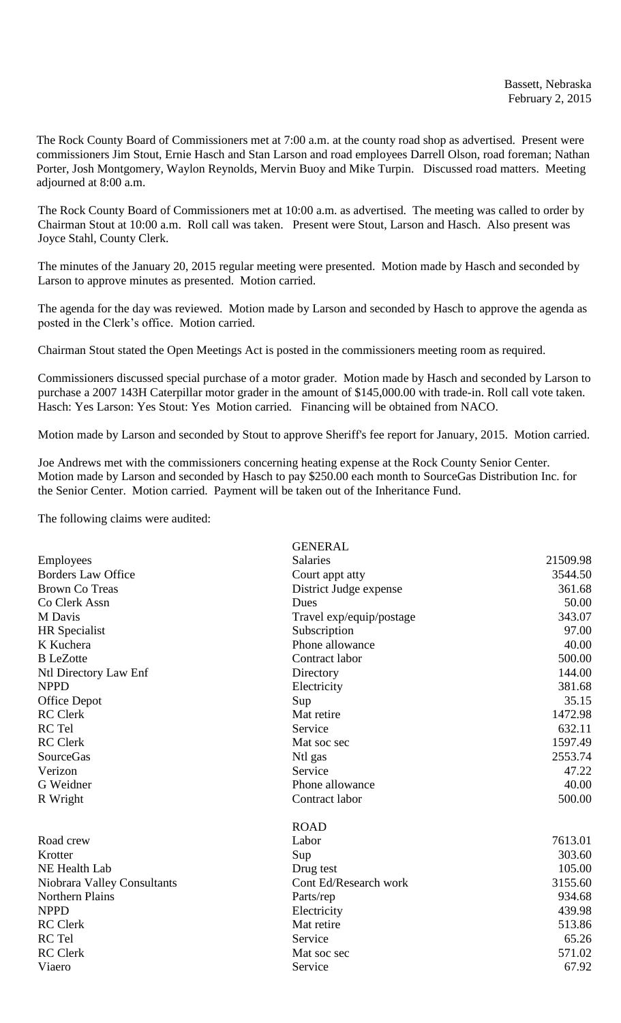The Rock County Board of Commissioners met at 7:00 a.m. at the county road shop as advertised. Present were commissioners Jim Stout, Ernie Hasch and Stan Larson and road employees Darrell Olson, road foreman; Nathan Porter, Josh Montgomery, Waylon Reynolds, Mervin Buoy and Mike Turpin. Discussed road matters. Meeting adjourned at 8:00 a.m.

The Rock County Board of Commissioners met at 10:00 a.m. as advertised. The meeting was called to order by Chairman Stout at 10:00 a.m. Roll call was taken. Present were Stout, Larson and Hasch. Also present was Joyce Stahl, County Clerk.

The minutes of the January 20, 2015 regular meeting were presented. Motion made by Hasch and seconded by Larson to approve minutes as presented. Motion carried.

The agenda for the day was reviewed. Motion made by Larson and seconded by Hasch to approve the agenda as posted in the Clerk's office. Motion carried.

Chairman Stout stated the Open Meetings Act is posted in the commissioners meeting room as required.

Commissioners discussed special purchase of a motor grader. Motion made by Hasch and seconded by Larson to purchase a 2007 143H Caterpillar motor grader in the amount of \$145,000.00 with trade-in. Roll call vote taken. Hasch: Yes Larson: Yes Stout: Yes Motion carried. Financing will be obtained from NACO.

Motion made by Larson and seconded by Stout to approve Sheriff's fee report for January, 2015. Motion carried.

Joe Andrews met with the commissioners concerning heating expense at the Rock County Senior Center. Motion made by Larson and seconded by Hasch to pay \$250.00 each month to SourceGas Distribution Inc. for the Senior Center. Motion carried. Payment will be taken out of the Inheritance Fund.

The following claims were audited:

| <b>Salaries</b><br>Employees<br><b>Borders Law Office</b><br>Court appt atty<br><b>Brown Co Treas</b><br>District Judge expense | 21509.98<br>3544.50<br>361.68<br>50.00<br>343.07 |
|---------------------------------------------------------------------------------------------------------------------------------|--------------------------------------------------|
|                                                                                                                                 |                                                  |
|                                                                                                                                 |                                                  |
|                                                                                                                                 |                                                  |
| Co Clerk Assn<br>Dues                                                                                                           |                                                  |
| M Davis<br>Travel exp/equip/postage                                                                                             |                                                  |
| Subscription<br><b>HR</b> Specialist                                                                                            | 97.00                                            |
| Phone allowance<br>K Kuchera                                                                                                    | 40.00                                            |
| <b>B</b> LeZotte<br>Contract labor                                                                                              | 500.00                                           |
| Ntl Directory Law Enf<br>Directory                                                                                              | 144.00                                           |
| <b>NPPD</b><br>Electricity                                                                                                      | 381.68                                           |
| <b>Office Depot</b><br>Sup                                                                                                      | 35.15                                            |
| <b>RC</b> Clerk<br>Mat retire                                                                                                   | 1472.98                                          |
| RC Tel<br>Service                                                                                                               | 632.11                                           |
| <b>RC</b> Clerk<br>Mat soc sec                                                                                                  | 1597.49                                          |
| <b>SourceGas</b><br>Ntl gas                                                                                                     | 2553.74                                          |
| Verizon<br>Service                                                                                                              | 47.22                                            |
| G Weidner<br>Phone allowance                                                                                                    | 40.00                                            |
| R Wright<br>Contract labor                                                                                                      | 500.00                                           |
| <b>ROAD</b>                                                                                                                     |                                                  |
| Road crew<br>Labor                                                                                                              | 7613.01                                          |
| Sup<br>Krotter                                                                                                                  | 303.60                                           |
| NE Health Lab<br>Drug test                                                                                                      | 105.00                                           |
| Niobrara Valley Consultants<br>Cont Ed/Research work                                                                            | 3155.60                                          |
| <b>Northern Plains</b><br>Parts/rep                                                                                             | 934.68                                           |
| <b>NPPD</b><br>Electricity                                                                                                      | 439.98                                           |
| <b>RC</b> Clerk<br>Mat retire                                                                                                   | 513.86                                           |
| RC Tel<br>Service                                                                                                               | 65.26                                            |
| <b>RC</b> Clerk<br>Mat soc sec                                                                                                  | 571.02                                           |
| Viaero<br>Service                                                                                                               | 67.92                                            |